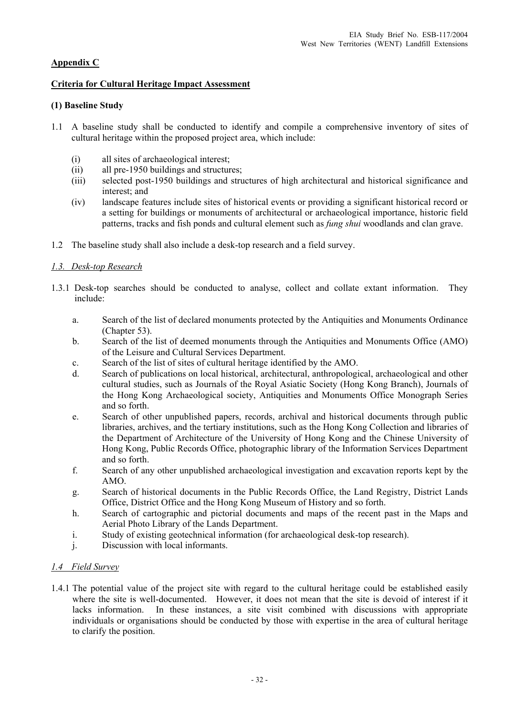# **Appendix C**

### **Criteria for Cultural Heritage Impact Assessment**

### **(1) Baseline Study**

- 1.1 A baseline study shall be conducted to identify and compile a comprehensive inventory of sites of cultural heritage within the proposed project area, which include:
	- (i) all sites of archaeological interest;
	- (ii) all pre-1950 buildings and structures;
	- (iii) selected post-1950 buildings and structures of high architectural and historical significance and interest; and
	- (iv) landscape features include sites of historical events or providing a significant historical record or a setting for buildings or monuments of architectural or archaeological importance, historic field patterns, tracks and fish ponds and cultural element such as *fung shui* woodlands and clan grave.
- 1.2 The baseline study shall also include a desk-top research and a field survey.

## *1.3. Desk-top Research*

- 1.3.1 Desk-top searches should be conducted to analyse, collect and collate extant information. They include:
	- a. Search of the list of declared monuments protected by the Antiquities and Monuments Ordinance (Chapter 53).
	- b. Search of the list of deemed monuments through the Antiquities and Monuments Office (AMO) of the Leisure and Cultural Services Department.
	- c. Search of the list of sites of cultural heritage identified by the AMO.
	- d. Search of publications on local historical, architectural, anthropological, archaeological and other cultural studies, such as Journals of the Royal Asiatic Society (Hong Kong Branch), Journals of the Hong Kong Archaeological society, Antiquities and Monuments Office Monograph Series and so forth.
	- e. Search of other unpublished papers, records, archival and historical documents through public libraries, archives, and the tertiary institutions, such as the Hong Kong Collection and libraries of the Department of Architecture of the University of Hong Kong and the Chinese University of Hong Kong, Public Records Office, photographic library of the Information Services Department and so forth.
	- f. Search of any other unpublished archaeological investigation and excavation reports kept by the AMO.
	- g. Search of historical documents in the Public Records Office, the Land Registry, District Lands Office, District Office and the Hong Kong Museum of History and so forth.
	- h. Search of cartographic and pictorial documents and maps of the recent past in the Maps and Aerial Photo Library of the Lands Department.
	- i. Study of existing geotechnical information (for archaeological desk-top research).
	- j. Discussion with local informants.

#### *1.4 Field Survey*

1.4.1 The potential value of the project site with regard to the cultural heritage could be established easily where the site is well-documented. However, it does not mean that the site is devoid of interest if it lacks information. In these instances, a site visit combined with discussions with appropriate individuals or organisations should be conducted by those with expertise in the area of cultural heritage to clarify the position.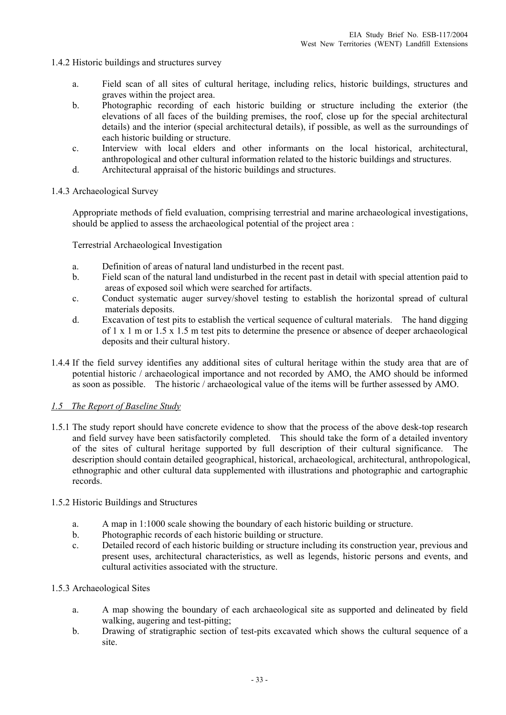- 1.4.2 Historic buildings and structures survey
	- a. Field scan of all sites of cultural heritage, including relics, historic buildings, structures and graves within the project area.
	- b. Photographic recording of each historic building or structure including the exterior (the elevations of all faces of the building premises, the roof, close up for the special architectural details) and the interior (special architectural details), if possible, as well as the surroundings of each historic building or structure.
	- c. Interview with local elders and other informants on the local historical, architectural, anthropological and other cultural information related to the historic buildings and structures.
	- d. Architectural appraisal of the historic buildings and structures.
- 1.4.3 Archaeological Survey

Appropriate methods of field evaluation, comprising terrestrial and marine archaeological investigations, should be applied to assess the archaeological potential of the project area :

Terrestrial Archaeological Investigation

- a. Definition of areas of natural land undisturbed in the recent past.
- b. Field scan of the natural land undisturbed in the recent past in detail with special attention paid to areas of exposed soil which were searched for artifacts.
- c. Conduct systematic auger survey/shovel testing to establish the horizontal spread of cultural materials deposits.
- d. Excavation of test pits to establish the vertical sequence of cultural materials. The hand digging of 1 x 1 m or 1.5 x 1.5 m test pits to determine the presence or absence of deeper archaeological deposits and their cultural history.
- 1.4.4 If the field survey identifies any additional sites of cultural heritage within the study area that are of potential historic / archaeological importance and not recorded by AMO, the AMO should be informed as soon as possible. The historic / archaeological value of the items will be further assessed by AMO.

## *1.5 The Report of Baseline Study*

1.5.1 The study report should have concrete evidence to show that the process of the above desk-top research and field survey have been satisfactorily completed. This should take the form of a detailed inventory of the sites of cultural heritage supported by full description of their cultural significance. The description should contain detailed geographical, historical, archaeological, architectural, anthropological, ethnographic and other cultural data supplemented with illustrations and photographic and cartographic records.

#### 1.5.2 Historic Buildings and Structures

- a. A map in 1:1000 scale showing the boundary of each historic building or structure.
- b. Photographic records of each historic building or structure.
- c. Detailed record of each historic building or structure including its construction year, previous and present uses, architectural characteristics, as well as legends, historic persons and events, and cultural activities associated with the structure.

#### 1.5.3 Archaeological Sites

- a. A map showing the boundary of each archaeological site as supported and delineated by field walking, augering and test-pitting;
- b. Drawing of stratigraphic section of test-pits excavated which shows the cultural sequence of a site.